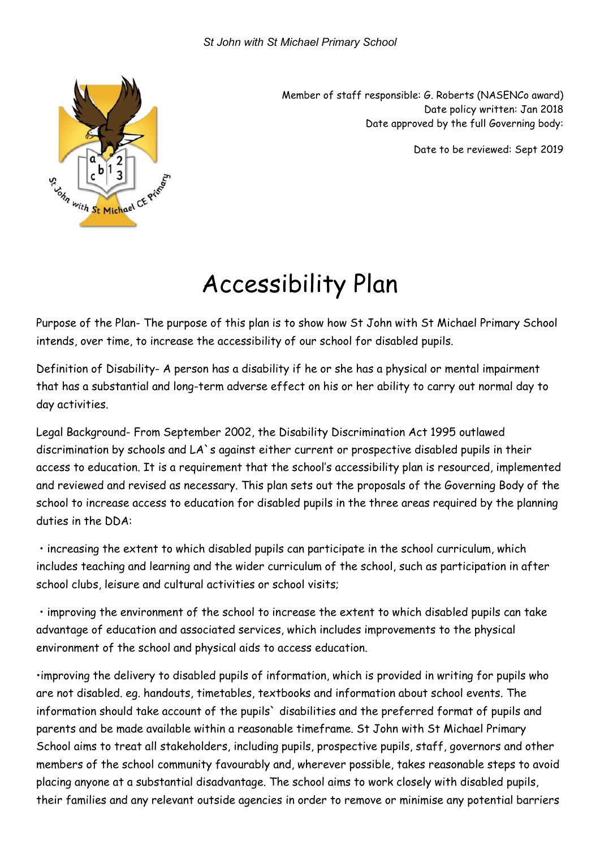

Member of staff responsible: G. Roberts (NASENCo award) Date policy written: Jan 2018 Date approved by the full Governing body:

Date to be reviewed: Sept 2019

## Accessibility Plan

Purpose of the Plan- The purpose of this plan is to show how St John with St Michael Primary School intends, over time, to increase the accessibility of our school for disabled pupils.

Definition of Disability- A person has a disability if he or she has a physical or mental impairment that has a substantial and long-term adverse effect on his or her ability to carry out normal day to day activities.

Legal Background- From September 2002, the Disability Discrimination Act 1995 outlawed discrimination by schools and LA`s against either current or prospective disabled pupils in their access to education. It is a requirement that the school's accessibility plan is resourced, implemented and reviewed and revised as necessary. This plan sets out the proposals of the Governing Body of the school to increase access to education for disabled pupils in the three areas required by the planning duties in the DDA:

 • increasing the extent to which disabled pupils can participate in the school curriculum, which includes teaching and learning and the wider curriculum of the school, such as participation in after school clubs, leisure and cultural activities or school visits;

 • improving the environment of the school to increase the extent to which disabled pupils can take advantage of education and associated services, which includes improvements to the physical environment of the school and physical aids to access education.

•improving the delivery to disabled pupils of information, which is provided in writing for pupils who are not disabled. eg. handouts, timetables, textbooks and information about school events. The information should take account of the pupils` disabilities and the preferred format of pupils and parents and be made available within a reasonable timeframe. St John with St Michael Primary School aims to treat all stakeholders, including pupils, prospective pupils, staff, governors and other members of the school community favourably and, wherever possible, takes reasonable steps to avoid placing anyone at a substantial disadvantage. The school aims to work closely with disabled pupils, their families and any relevant outside agencies in order to remove or minimise any potential barriers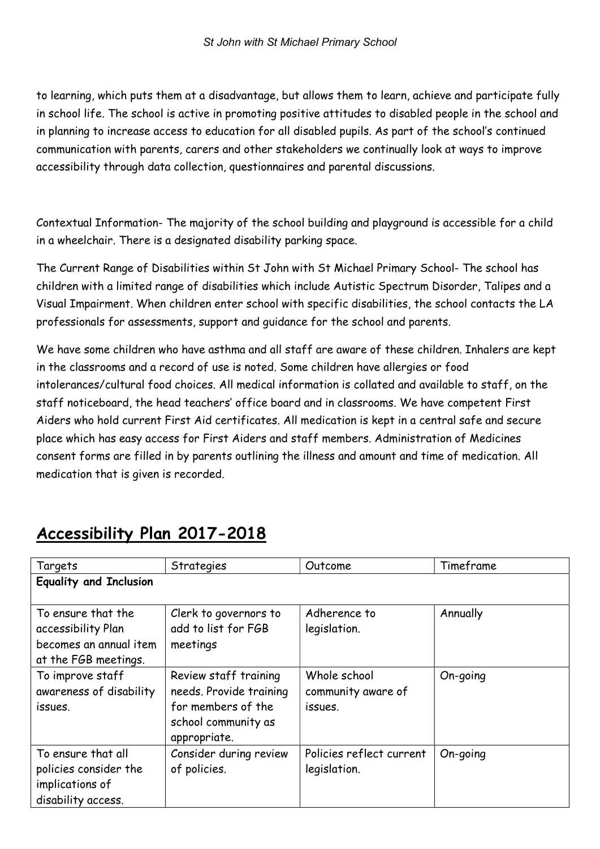to learning, which puts them at a disadvantage, but allows them to learn, achieve and participate fully in school life. The school is active in promoting positive attitudes to disabled people in the school and in planning to increase access to education for all disabled pupils. As part of the school's continued communication with parents, carers and other stakeholders we continually look at ways to improve accessibility through data collection, questionnaires and parental discussions.

Contextual Information- The majority of the school building and playground is accessible for a child in a wheelchair. There is a designated disability parking space.

The Current Range of Disabilities within St John with St Michael Primary School- The school has children with a limited range of disabilities which include Autistic Spectrum Disorder, Talipes and a Visual Impairment. When children enter school with specific disabilities, the school contacts the LA professionals for assessments, support and guidance for the school and parents.

We have some children who have asthma and all staff are aware of these children. Inhalers are kept in the classrooms and a record of use is noted. Some children have allergies or food intolerances/cultural food choices. All medical information is collated and available to staff, on the staff noticeboard, the head teachers' office board and in classrooms. We have competent First Aiders who hold current First Aid certificates. All medication is kept in a central safe and secure place which has easy access for First Aiders and staff members. Administration of Medicines consent forms are filled in by parents outlining the illness and amount and time of medication. All medication that is given is recorded.

| Targets                                                                                    | Strategies                                                                                                    | Outcome                                       | Timeframe |
|--------------------------------------------------------------------------------------------|---------------------------------------------------------------------------------------------------------------|-----------------------------------------------|-----------|
| <b>Equality and Inclusion</b>                                                              |                                                                                                               |                                               |           |
| To ensure that the<br>accessibility Plan<br>becomes an annual item<br>at the FGB meetings. | Clerk to governors to<br>add to list for FGB<br>meetings                                                      | Adherence to<br>legislation.                  | Annually  |
| To improve staff<br>awareness of disability<br>issues.                                     | Review staff training<br>needs. Provide training<br>for members of the<br>school community as<br>appropriate. | Whole school<br>community aware of<br>issues. | On-going  |
| To ensure that all<br>policies consider the<br>implications of<br>disability access.       | Consider during review<br>of policies.                                                                        | Policies reflect current<br>legislation.      | On-going  |

## Accessibility Plan 2017-2018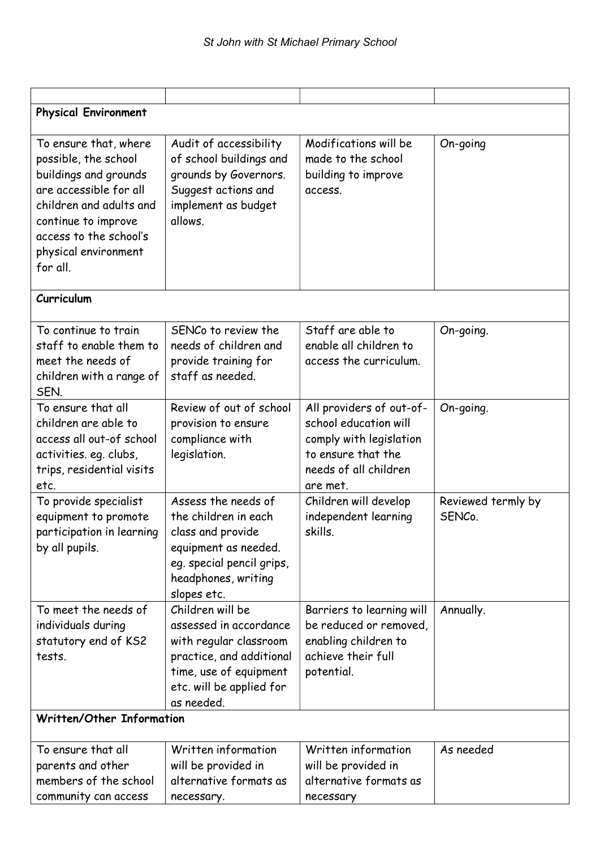| <b>Physical Environment</b>                                                                                                                                                                                      |                                                                                                                                                                      |                                                                                                                                         |                              |  |  |  |
|------------------------------------------------------------------------------------------------------------------------------------------------------------------------------------------------------------------|----------------------------------------------------------------------------------------------------------------------------------------------------------------------|-----------------------------------------------------------------------------------------------------------------------------------------|------------------------------|--|--|--|
| To ensure that, where<br>possible, the school<br>buildings and grounds<br>are accessible for all<br>children and adults and<br>continue to improve<br>access to the school's<br>physical environment<br>for all. | Audit of accessibility<br>of school buildings and<br>grounds by Governors.<br>Suggest actions and<br>implement as budget<br>allows.                                  | Modifications will be<br>made to the school<br>building to improve<br>access.                                                           | On-going                     |  |  |  |
| Curriculum                                                                                                                                                                                                       |                                                                                                                                                                      |                                                                                                                                         |                              |  |  |  |
| To continue to train<br>staff to enable them to<br>meet the needs of<br>children with a range of<br>SEN.                                                                                                         | SENCo to review the<br>needs of children and<br>provide training for<br>staff as needed.                                                                             | Staff are able to<br>enable all children to<br>access the curriculum.                                                                   | On-going.                    |  |  |  |
| To ensure that all<br>children are able to<br>access all out-of school<br>activities. eg. clubs,<br>trips, residential visits<br>etc.                                                                            | Review of out of school<br>provision to ensure<br>compliance with<br>legislation.                                                                                    | All providers of out-of-<br>school education will<br>comply with legislation<br>to ensure that the<br>needs of all children<br>are met. | On-going.                    |  |  |  |
| To provide specialist<br>equipment to promote<br>participation in learning<br>by all pupils.                                                                                                                     | Assess the needs of<br>the children in each<br>class and provide<br>equipment as needed.<br>eg. special pencil grips,<br>headphones, writing<br>slopes etc.          | Children will develop<br>independent learning<br>skills.                                                                                | Reviewed termly by<br>SENCo. |  |  |  |
| To meet the needs of<br>individuals during<br>statutory end of KS2<br>tests.                                                                                                                                     | Children will be<br>assessed in accordance<br>with regular classroom<br>practice, and additional<br>time, use of equipment<br>etc. will be applied for<br>as needed. | Barriers to learning will<br>be reduced or removed,<br>enabling children to<br>achieve their full<br>potential.                         | Annually.                    |  |  |  |
| Written/Other Information                                                                                                                                                                                        |                                                                                                                                                                      |                                                                                                                                         |                              |  |  |  |
| To ensure that all<br>parents and other<br>members of the school<br>community can access                                                                                                                         | Written information<br>will be provided in<br>alternative formats as<br>necessary.                                                                                   | Written information<br>will be provided in<br>alternative formats as<br>necessary                                                       | As needed                    |  |  |  |